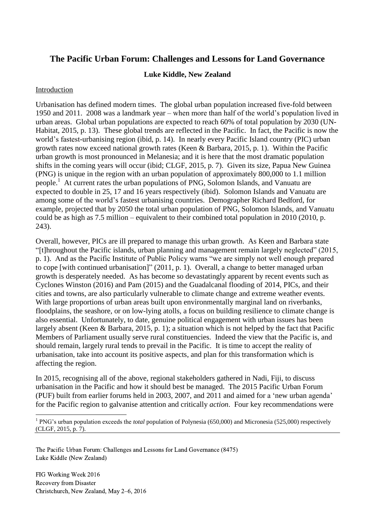# **The Pacific Urban Forum: Challenges and Lessons for Land Governance**

## **Luke Kiddle, New Zealand**

#### Introduction

Urbanisation has defined modern times. The global urban population increased five-fold between 1950 and 2011. 2008 was a landmark year – when more than half of the world's population lived in urban areas. Global urban populations are expected to reach 60% of total population by 2030 (UN-Habitat, 2015, p. 13). These global trends are reflected in the Pacific. In fact, the Pacific is now the world's fastest-urbanising region (ibid, p. 14). In nearly every Pacific Island country (PIC) urban growth rates now exceed national growth rates (Keen & Barbara, 2015, p. 1). Within the Pacific urban growth is most pronounced in Melanesia; and it is here that the most dramatic population shifts in the coming years will occur (ibid; CLGF, 2015, p. 7). Given its size, Papua New Guinea (PNG) is unique in the region with an urban population of approximately 800,000 to 1.1 million people.<sup>1</sup> At current rates the urban populations of PNG, Solomon Islands, and Vanuatu are expected to double in 25, 17 and 16 years respectively (ibid). Solomon Islands and Vanuatu are among some of the world's fastest urbanising countries. Demographer Richard Bedford, for example, projected that by 2050 the total urban population of PNG, Solomon Islands, and Vanuatu could be as high as 7.5 million – equivalent to their combined total population in 2010 (2010, p. 243).

Overall, however, PICs are ill prepared to manage this urban growth. As Keen and Barbara state "[t]hroughout the Pacific islands, urban planning and management remain largely neglected" (2015, p. 1). And as the Pacific Institute of Public Policy warns "we are simply not well enough prepared to cope [with continued urbanisation]" (2011, p. 1). Overall, a change to better managed urban growth is desperately needed. As has become so devastatingly apparent by recent events such as Cyclones Winston (2016) and Pam (2015) and the Guadalcanal flooding of 2014, PICs, and their cities and towns, are also particularly vulnerable to climate change and extreme weather events. With large proportions of urban areas built upon environmentally marginal land on riverbanks, floodplains, the seashore, or on low-lying atolls, a focus on building resilience to climate change is also essential. Unfortunately, to date, genuine political engagement with urban issues has been largely absent (Keen & Barbara, 2015, p. 1); a situation which is not helped by the fact that Pacific Members of Parliament usually serve rural constituencies. Indeed the view that the Pacific is, and should remain, largely rural tends to prevail in the Pacific. It is time to accept the reality of urbanisation, take into account its positive aspects, and plan for this transformation which is affecting the region.

In 2015, recognising all of the above, regional stakeholders gathered in Nadi, Fiji, to discuss urbanisation in the Pacific and how it should best be managed. The 2015 Pacific Urban Forum (PUF) built from earlier forums held in 2003, 2007, and 2011 and aimed for a 'new urban agenda' for the Pacific region to galvanise attention and critically *action*. Four key recommendations were

The Pacific Urban Forum: Challenges and Lessons for Land Governance (8475) Luke Kiddle (New Zealand)

FIG Working Week 2016 Recovery from Disaster Christchurch, New Zealand, May 2–6, 2016

1

<sup>&</sup>lt;sup>1</sup> PNG's urban population exceeds the *total* population of Polynesia (650,000) and Micronesia (525,000) respectively (CLGF, 2015, p. 7).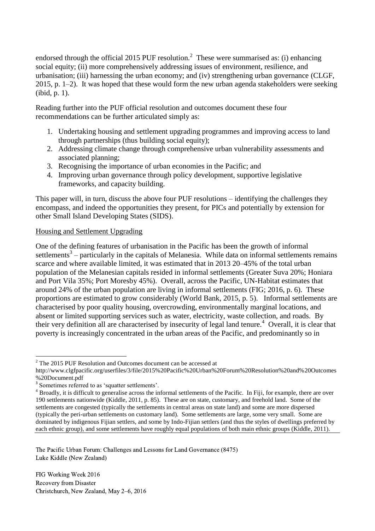endorsed through the official 2015 PUF resolution.<sup>2</sup> These were summarised as: (i) enhancing social equity; (ii) more comprehensively addressing issues of environment, resilience, and urbanisation; (iii) harnessing the urban economy; and (iv) strengthening urban governance (CLGF, 2015, p. 1–2). It was hoped that these would form the new urban agenda stakeholders were seeking (ibid, p. 1).

Reading further into the PUF official resolution and outcomes document these four recommendations can be further articulated simply as:

- 1. Undertaking housing and settlement upgrading programmes and improving access to land through partnerships (thus building social equity);
- 2. Addressing climate change through comprehensive urban vulnerability assessments and associated planning;
- 3. Recognising the importance of urban economies in the Pacific; and
- 4. Improving urban governance through policy development, supportive legislative frameworks, and capacity building.

This paper will, in turn, discuss the above four PUF resolutions – identifying the challenges they encompass, and indeed the opportunities they present, for PICs and potentially by extension for other Small Island Developing States (SIDS).

## Housing and Settlement Upgrading

One of the defining features of urbanisation in the Pacific has been the growth of informal settlements $3$  – particularly in the capitals of Melanesia. While data on informal settlements remains scarce and where available limited, it was estimated that in 2013 20–45% of the total urban population of the Melanesian capitals resided in informal settlements (Greater Suva 20%; Honiara and Port Vila 35%; Port Moresby 45%). Overall, across the Pacific, UN-Habitat estimates that around 24% of the urban population are living in informal settlements (FIG; 2016, p. 6). These proportions are estimated to grow considerably (World Bank, 2015, p. 5). Informal settlements are characterised by poor quality housing, overcrowding, environmentally marginal locations, and absent or limited supporting services such as water, electricity, waste collection, and roads. By their very definition all are characterised by insecurity of legal land tenure.<sup>4</sup> Overall, it is clear that poverty is increasingly concentrated in the urban areas of the Pacific, and predominantly so in

The Pacific Urban Forum: Challenges and Lessons for Land Governance (8475) Luke Kiddle (New Zealand)

**<sup>.</sup>**  $2$ <sup>2</sup> The 2015 PUF Resolution and Outcomes document can be accessed at

http://www.clgfpacific.org/userfiles/3/file/2015%20Pacific%20Urban%20Forum%20Resolution%20and%20Outcomes %20Document.pdf

<sup>&</sup>lt;sup>3</sup> Sometimes referred to as 'squatter settlements'.

<sup>&</sup>lt;sup>4</sup> Broadly, it is difficult to generalise across the informal settlements of the Pacific. In Fiji, for example, there are over 190 settlements nationwide (Kiddle, 2011, p. 85). These are on state, customary, and freehold land. Some of the settlements are congested (typically the settlements in central areas on state land) and some are more dispersed (typically the peri-urban settlements on customary land). Some settlements are large, some very small. Some are dominated by indigenous Fijian settlers, and some by Indo-Fijian settlers (and thus the styles of dwellings preferred by each ethnic group), and some settlements have roughly equal populations of both main ethnic groups (Kiddle, 2011).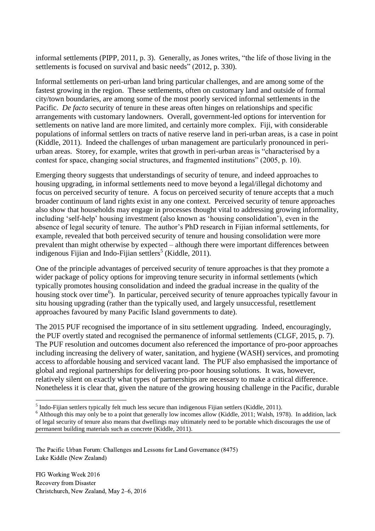informal settlements (PIPP, 2011, p. 3). Generally, as Jones writes, "the life of those living in the settlements is focused on survival and basic needs" (2012, p. 330).

Informal settlements on peri-urban land bring particular challenges, and are among some of the fastest growing in the region. These settlements, often on customary land and outside of formal city/town boundaries, are among some of the most poorly serviced informal settlements in the Pacific. *De facto* security of tenure in these areas often hinges on relationships and specific arrangements with customary landowners. Overall, government-led options for intervention for settlements on native land are more limited, and certainly more complex. Fiji, with considerable populations of informal settlers on tracts of native reserve land in peri-urban areas, is a case in point (Kiddle, 2011). Indeed the challenges of urban management are particularly pronounced in periurban areas. Storey, for example, writes that growth in peri-urban areas is "characterised by a contest for space, changing social structures, and fragmented institutions" (2005, p. 10).

Emerging theory suggests that understandings of security of tenure, and indeed approaches to housing upgrading, in informal settlements need to move beyond a legal/illegal dichotomy and focus on perceived security of tenure. A focus on perceived security of tenure accepts that a much broader continuum of land rights exist in any one context. Perceived security of tenure approaches also show that households may engage in processes thought vital to addressing growing informality, including 'self-help' housing investment (also known as 'housing consolidation'), even in the absence of legal security of tenure. The author's PhD research in Fijian informal settlements, for example, revealed that both perceived security of tenure and housing consolidation were more prevalent than might otherwise by expected – although there were important differences between indigenous Fijian and Indo-Fijian settlers<sup>5</sup> (Kiddle, 2011).

One of the principle advantages of perceived security of tenure approaches is that they promote a wider package of policy options for improving tenure security in informal settlements (which typically promotes housing consolidation and indeed the gradual increase in the quality of the housing stock over time<sup>6</sup> ). In particular, perceived security of tenure approaches typically favour in situ housing upgrading (rather than the typically used, and largely unsuccessful, resettlement approaches favoured by many Pacific Island governments to date).

The 2015 PUF recognised the importance of in situ settlement upgrading. Indeed, encouragingly, the PUF overtly stated and recognised the permanence of informal settlements (CLGF, 2015, p. 7). The PUF resolution and outcomes document also referenced the importance of pro-poor approaches including increasing the delivery of water, sanitation, and hygiene (WASH) services, and promoting access to affordable housing and serviced vacant land. The PUF also emphasised the importance of global and regional partnerships for delivering pro-poor housing solutions. It was, however, relatively silent on exactly what types of partnerships are necessary to make a critical difference. Nonetheless it is clear that, given the nature of the growing housing challenge in the Pacific, durable

The Pacific Urban Forum: Challenges and Lessons for Land Governance (8475) Luke Kiddle (New Zealand)

FIG Working Week 2016 Recovery from Disaster Christchurch, New Zealand, May 2–6, 2016

**.** 

 $<sup>5</sup>$  Indo-Fijian settlers typically felt much less secure than indigenous Fijian settlers (Kiddle, 2011).</sup>

<sup>&</sup>lt;sup>6</sup> Although this may only be to a point that generally low incomes allow (Kiddle, 2011; Walsh, 1978). In addition, lack of legal security of tenure also means that dwellings may ultimately need to be portable which discourages the use of permanent building materials such as concrete (Kiddle, 2011).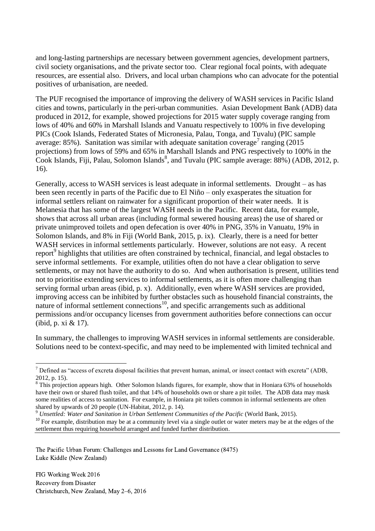and long-lasting partnerships are necessary between government agencies, development partners, civil society organisations, and the private sector too. Clear regional focal points, with adequate resources, are essential also. Drivers, and local urban champions who can advocate for the potential positives of urbanisation, are needed.

The PUF recognised the importance of improving the delivery of WASH services in Pacific Island cities and towns, particularly in the peri-urban communities. Asian Development Bank (ADB) data produced in 2012, for example, showed projections for 2015 water supply coverage ranging from lows of 40% and 60% in Marshall Islands and Vanuatu respectively to 100% in five developing PICs (Cook Islands, Federated States of Micronesia, Palau, Tonga, and Tuvalu) (PIC sample average: 85%). Sanitation was similar with adequate sanitation coverage<sup>7</sup> ranging (2015) projections) from lows of 59% and 65% in Marshall Islands and PNG respectively to 100% in the Cook Islands, Fiji, Palau, Solomon Islands<sup>8</sup>, and Tuvalu (PIC sample average: 88%) (ADB, 2012, p. 16).

Generally, access to WASH services is least adequate in informal settlements. Drought – as has been seen recently in parts of the Pacific due to El Niño – only exasperates the situation for informal settlers reliant on rainwater for a significant proportion of their water needs. It is Melanesia that has some of the largest WASH needs in the Pacific. Recent data, for example, shows that across all urban areas (including formal sewered housing areas) the use of shared or private unimproved toilets and open defecation is over 40% in PNG, 35% in Vanuatu, 19% in Solomon Islands, and 8% in Fiji (World Bank, 2015, p. ix). Clearly, there is a need for better WASH services in informal settlements particularly. However, solutions are not easy. A recent report<sup>9</sup> highlights that utilities are often constrained by technical, financial, and legal obstacles to serve informal settlements. For example, utilities often do not have a clear obligation to serve settlements, or may not have the authority to do so. And when authorisation is present, utilities tend not to prioritise extending services to informal settlements, as it is often more challenging than serving formal urban areas (ibid, p. x). Additionally, even where WASH services are provided, improving access can be inhibited by further obstacles such as household financial constraints, the nature of informal settlement connections<sup>10</sup>, and specific arrangements such as additional permissions and/or occupancy licenses from government authorities before connections can occur (ibid, p. xi & 17).

In summary, the challenges to improving WASH services in informal settlements are considerable. Solutions need to be context-specific, and may need to be implemented with limited technical and

<sup>9</sup> Unsettled: Water and Sanitation in Urban Settlement Communities of the Pacific (World Bank, 2015).

The Pacific Urban Forum: Challenges and Lessons for Land Governance (8475) Luke Kiddle (New Zealand)

FIG Working Week 2016 Recovery from Disaster Christchurch, New Zealand, May 2–6, 2016

 $\overline{\phantom{a}}$ 

 $<sup>7</sup>$  Defined as "access of excreta disposal facilities that prevent human, animal, or insect contact with excreta" (ADB,</sup> 2012, p. 15).

<sup>&</sup>lt;sup>8</sup> This projection appears high. Other Solomon Islands figures, for example, show that in Honiara 63% of households have their own or shared flush toilet, and that 14% of households own or share a pit toilet. The ADB data may mask some realities of access to sanitation. For example, in Honiara pit toilets common in informal settlements are often shared by upwards of 20 people (UN-Habitat, 2012, p. 14).

 $10$  For example, distribution may be at a community level via a single outlet or water meters may be at the edges of the settlement thus requiring household arranged and funded further distribution.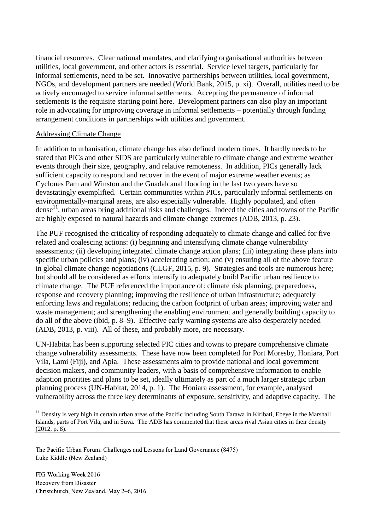financial resources. Clear national mandates, and clarifying organisational authorities between utilities, local government, and other actors is essential. Service level targets, particularly for informal settlements, need to be set. Innovative partnerships between utilities, local government, NGOs, and development partners are needed (World Bank, 2015, p. xi). Overall, utilities need to be actively encouraged to service informal settlements. Accepting the permanence of informal settlements is the requisite starting point here. Development partners can also play an important role in advocating for improving coverage in informal settlements – potentially through funding arrangement conditions in partnerships with utilities and government.

#### Addressing Climate Change

In addition to urbanisation, climate change has also defined modern times. It hardly needs to be stated that PICs and other SIDS are particularly vulnerable to climate change and extreme weather events through their size, geography, and relative remoteness. In addition, PICs generally lack sufficient capacity to respond and recover in the event of major extreme weather events; as Cyclones Pam and Winston and the Guadalcanal flooding in the last two years have so devastatingly exemplified. Certain communities within PICs, particularly informal settlements on environmentally-marginal areas, are also especially vulnerable. Highly populated, and often dense<sup>11</sup>, urban areas bring additional risks and challenges. Indeed the cities and towns of the Pacific are highly exposed to natural hazards and climate change extremes (ADB, 2013, p. 23).

The PUF recognised the criticality of responding adequately to climate change and called for five related and coalescing actions: (i) beginning and intensifying climate change vulnerability assessments; (ii) developing integrated climate change action plans; (iii) integrating these plans into specific urban policies and plans; (iv) accelerating action; and (v) ensuring all of the above feature in global climate change negotiations (CLGF, 2015, p. 9). Strategies and tools are numerous here; but should all be considered as efforts intensify to adequately build Pacific urban resilience to climate change. The PUF referenced the importance of: climate risk planning; preparedness, response and recovery planning; improving the resilience of urban infrastructure; adequately enforcing laws and regulations; reducing the carbon footprint of urban areas; improving water and waste management; and strengthening the enabling environment and generally building capacity to do all of the above (ibid, p. 8–9). Effective early warning systems are also desperately needed (ADB, 2013, p. viii). All of these, and probably more, are necessary.

UN-Habitat has been supporting selected PIC cities and towns to prepare comprehensive climate change vulnerability assessments. These have now been completed for Port Moresby, Honiara, Port Vila, Lami (Fiji), and Apia. These assessments aim to provide national and local government decision makers, and community leaders, with a basis of comprehensive information to enable adaption priorities and plans to be set, ideally ultimately as part of a much larger strategic urban planning process (UN-Habitat, 2014, p. 1). The Honiara assessment, for example, analysed vulnerability across the three key determinants of exposure, sensitivity, and adaptive capacity. The

The Pacific Urban Forum: Challenges and Lessons for Land Governance (8475) Luke Kiddle (New Zealand)

FIG Working Week 2016 Recovery from Disaster Christchurch, New Zealand, May 2–6, 2016

 $\overline{\phantom{a}}$ 

 $11$  Density is very high in certain urban areas of the Pacific including South Tarawa in Kiribati, Ebeye in the Marshall Islands, parts of Port Vila, and in Suva. The ADB has commented that these areas rival Asian cities in their density (2012, p. 8).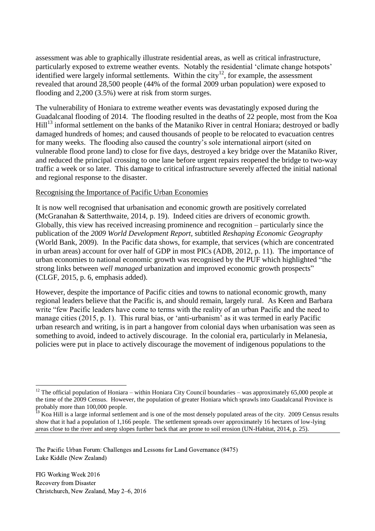assessment was able to graphically illustrate residential areas, as well as critical infrastructure, particularly exposed to extreme weather events. Notably the residential 'climate change hotspots' identified were largely informal settlements. Within the city<sup>12</sup>, for example, the assessment revealed that around 28,500 people (44% of the formal 2009 urban population) were exposed to flooding and 2,200 (3.5%) were at risk from storm surges.

The vulnerability of Honiara to extreme weather events was devastatingly exposed during the Guadalcanal flooding of 2014. The flooding resulted in the deaths of 22 people, most from the Koa Hill<sup>13</sup> informal settlement on the banks of the Mataniko River in central Honiara; destroyed or badly damaged hundreds of homes; and caused thousands of people to be relocated to evacuation centres for many weeks. The flooding also caused the country's sole international airport (sited on vulnerable flood prone land) to close for five days, destroyed a key bridge over the Mataniko River, and reduced the principal crossing to one lane before urgent repairs reopened the bridge to two-way traffic a week or so later. This damage to critical infrastructure severely affected the initial national and regional response to the disaster.

## Recognising the Importance of Pacific Urban Economies

It is now well recognised that urbanisation and economic growth are positively correlated (McGranahan & Satterthwaite, 2014, p. 19). Indeed cities are drivers of economic growth. Globally, this view has received increasing prominence and recognition – particularly since the publication of the *2009 World Development Report,* subtitled *Reshaping Economic Geography*  (World Bank, 2009). In the Pacific data shows, for example, that services (which are concentrated in urban areas) account for over half of GDP in most PICs (ADB, 2012, p. 11). The importance of urban economies to national economic growth was recognised by the PUF which highlighted "the strong links between *well managed* urbanization and improved economic growth prospects" (CLGF, 2015, p. 6, emphasis added).

However, despite the importance of Pacific cities and towns to national economic growth, many regional leaders believe that the Pacific is, and should remain, largely rural. As Keen and Barbara write "few Pacific leaders have come to terms with the reality of an urban Pacific and the need to manage cities (2015, p. 1). This rural bias, or 'anti-urbanism' as it was termed in early Pacific urban research and writing, is in part a hangover from colonial days when urbanisation was seen as something to avoid, indeed to actively discourage. In the colonial era, particularly in Melanesia, policies were put in place to actively discourage the movement of indigenous populations to the

The Pacific Urban Forum: Challenges and Lessons for Land Governance (8475) Luke Kiddle (New Zealand)

**<sup>.</sup>** <sup>12</sup> The official population of Honiara – within Honiara City Council boundaries – was approximately 65,000 people at the time of the 2009 Census. However, the population of greater Honiara which sprawls into Guadalcanal Province is probably more than 100,000 people.

 $\frac{13}{13}$  Koa Hill is a large informal settlement and is one of the most densely populated areas of the city. 2009 Census results show that it had a population of 1,166 people. The settlement spreads over approximately 16 hectares of low-lying areas close to the river and steep slopes further back that are prone to soil erosion (UN-Habitat, 2014, p. 25).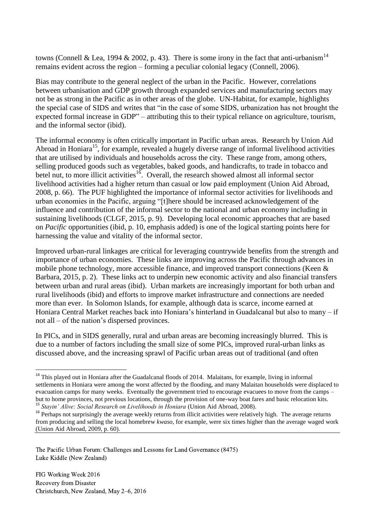towns (Connell & Lea, 1994 & 2002, p. 43). There is some irony in the fact that anti-urbanism<sup>14</sup> remains evident across the region – forming a peculiar colonial legacy (Connell, 2006).

Bias may contribute to the general neglect of the urban in the Pacific. However, correlations between urbanisation and GDP growth through expanded services and manufacturing sectors may not be as strong in the Pacific as in other areas of the globe. UN-Habitat, for example, highlights the special case of SIDS and writes that "in the case of some SIDS, urbanization has not brought the expected formal increase in GDP" – attributing this to their typical reliance on agriculture, tourism, and the informal sector (ibid).

The informal economy is often critically important in Pacific urban areas. Research by Union Aid Abroad in Honiara<sup>15</sup>, for example, revealed a hugely diverse range of informal livelihood activities that are utilised by individuals and households across the city. These range from, among others, selling produced goods such as vegetables, baked goods, and handicrafts, to trade in tobacco and betel nut, to more illicit activities<sup>16</sup>. Overall, the research showed almost all informal sector livelihood activities had a higher return than casual or low paid employment (Union Aid Abroad, 2008, p. 66). The PUF highlighted the importance of informal sector activities for livelihoods and urban economies in the Pacific, arguing "[t]here should be increased acknowledgement of the influence and contribution of the informal sector to the national and urban economy including in sustaining livelihoods (CLGF, 2015, p. 9). Developing local economic approaches that are based on *Pacific* opportunities (ibid, p. 10, emphasis added) is one of the logical starting points here for harnessing the value and vitality of the informal sector.

Improved urban-rural linkages are critical for leveraging countrywide benefits from the strength and importance of urban economies. These links are improving across the Pacific through advances in mobile phone technology, more accessible finance, and improved transport connections (Keen & Barbara, 2015, p. 2). These links act to underpin new economic activity and also financial transfers between urban and rural areas (ibid). Urban markets are increasingly important for both urban and rural livelihoods (ibid) and efforts to improve market infrastructure and connections are needed more than ever. In Solomon Islands, for example, although data is scarce, income earned at Honiara Central Market reaches back into Honiara's hinterland in Guadalcanal but also to many – if not all – of the nation's dispersed provinces.

In PICs, and in SIDS generally, rural and urban areas are becoming increasingly blurred. This is due to a number of factors including the small size of some PICs, improved rural-urban links as discussed above, and the increasing sprawl of Pacific urban areas out of traditional (and often

The Pacific Urban Forum: Challenges and Lessons for Land Governance (8475) Luke Kiddle (New Zealand)

FIG Working Week 2016 Recovery from Disaster Christchurch, New Zealand, May 2–6, 2016

1

<sup>&</sup>lt;sup>14</sup> This played out in Honiara after the Guadalcanal floods of 2014. Malaitans, for example, living in informal settlements in Honiara were among the worst affected by the flooding, and many Malaitan households were displaced to evacuation camps for many weeks. Eventually the government tried to encourage evacuees to move from the camps – but to home provinces, not previous locations, through the provision of one-way boat fares and basic relocation kits. <sup>15</sup> Stavin' Alive: Social Research on Livelihoods in Honiara (Union Aid Abroad, 2008).

<sup>&</sup>lt;sup>16</sup> Perhaps not surprisingly the average weekly returns from illicit activities were relatively high. The average returns from producing and selling the local homebrew *kwaso*, for example, were six times higher than the average waged work (Union Aid Abroad, 2009, p. 60).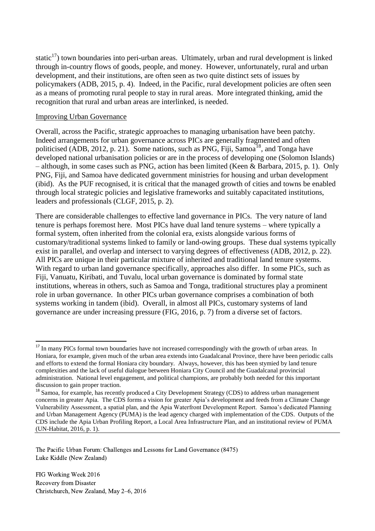static<sup>17</sup>) town boundaries into peri-urban areas. Ultimately, urban and rural development is linked through in-country flows of goods, people, and money. However, unfortunately, rural and urban development, and their institutions, are often seen as two quite distinct sets of issues by policymakers (ADB, 2015, p. 4). Indeed, in the Pacific, rural development policies are often seen as a means of promoting rural people to stay in rural areas. More integrated thinking, amid the recognition that rural and urban areas are interlinked, is needed.

#### Improving Urban Governance

Overall, across the Pacific, strategic approaches to managing urbanisation have been patchy. Indeed arrangements for urban governance across PICs are generally fragmented and often politicised (ADB, 2012, p. 21). Some nations, such as PNG, Fiji, Samoa<sup>18</sup>, and Tonga have developed national urbanisation policies or are in the process of developing one (Solomon Islands) – although, in some cases such as PNG, action has been limited (Keen & Barbara, 2015, p. 1). Only PNG, Fiji, and Samoa have dedicated government ministries for housing and urban development (ibid). As the PUF recognised, it is critical that the managed growth of cities and towns be enabled through local strategic policies and legislative frameworks and suitably capacitated institutions, leaders and professionals (CLGF, 2015, p. 2).

There are considerable challenges to effective land governance in PICs. The very nature of land tenure is perhaps foremost here. Most PICs have dual land tenure systems – where typically a formal system, often inherited from the colonial era, exists alongside various forms of customary/traditional systems linked to family or land-owing groups. These dual systems typically exist in parallel, and overlap and intersect to varying degrees of effectiveness (ADB, 2012, p. 22). All PICs are unique in their particular mixture of inherited and traditional land tenure systems. With regard to urban land governance specifically, approaches also differ. In some PICs, such as Fiji, Vanuatu, Kiribati, and Tuvalu, local urban governance is dominated by formal state institutions, whereas in others, such as Samoa and Tonga, traditional structures play a prominent role in urban governance. In other PICs urban governance comprises a combination of both systems working in tandem (ibid). Overall, in almost all PICs, customary systems of land governance are under increasing pressure (FIG, 2016, p. 7) from a diverse set of factors.

The Pacific Urban Forum: Challenges and Lessons for Land Governance (8475) Luke Kiddle (New Zealand)

**.** 

<sup>&</sup>lt;sup>17</sup> In many PICs formal town boundaries have not increased correspondingly with the growth of urban areas. In Honiara, for example, given much of the urban area extends into Guadalcanal Province, there have been periodic calls and efforts to extend the formal Honiara city boundary. Always, however, this has been stymied by land tenure complexities and the lack of useful dialogue between Honiara City Council and the Guadalcanal provincial administration. National level engagement, and political champions, are probably both needed for this important discussion to gain proper traction.

<sup>&</sup>lt;sup>18</sup> Samoa, for example, has recently produced a City Development Strategy (CDS) to address urban management concerns in greater Apia. The CDS forms a vision for greater Apia's development and feeds from a Climate Change Vulnerability Assessment, a spatial plan, and the Apia Waterfront Development Report. Samoa's dedicated Planning and Urban Management Agency (PUMA) is the lead agency charged with implementation of the CDS. Outputs of the CDS include the Apia Urban Profiling Report, a Local Area Infrastructure Plan, and an institutional review of PUMA (UN-Habitat, 2016, p. 1).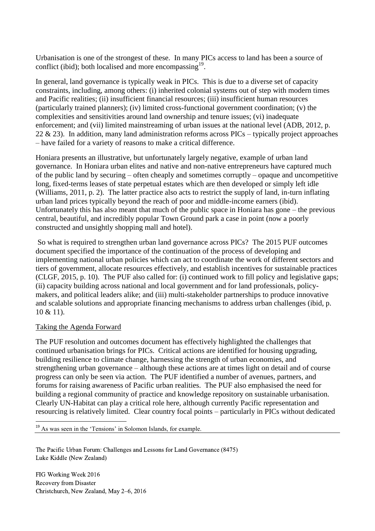Urbanisation is one of the strongest of these. In many PICs access to land has been a source of conflict (ibid); both localised and more encompassing $19$ .

In general, land governance is typically weak in PICs. This is due to a diverse set of capacity constraints, including, among others: (i) inherited colonial systems out of step with modern times and Pacific realities; (ii) insufficient financial resources; (iii) insufficient human resources (particularly trained planners); (iv) limited cross-functional government coordination; (v) the complexities and sensitivities around land ownership and tenure issues; (vi) inadequate enforcement; and (vii) limited mainstreaming of urban issues at the national level (ADB, 2012, p. 22  $\&$  23). In addition, many land administration reforms across PICs – typically project approaches – have failed for a variety of reasons to make a critical difference.

Honiara presents an illustrative, but unfortunately largely negative, example of urban land governance. In Honiara urban elites and native and non-native entrepreneurs have captured much of the public land by securing – often cheaply and sometimes corruptly – opaque and uncompetitive long, fixed-terms leases of state perpetual estates which are then developed or simply left idle (Williams, 2011, p. 2). The latter practice also acts to restrict the supply of land, in-turn inflating urban land prices typically beyond the reach of poor and middle-income earners (ibid). Unfortunately this has also meant that much of the public space in Honiara has gone – the previous central, beautiful, and incredibly popular Town Ground park a case in point (now a poorly constructed and unsightly shopping mall and hotel).

So what is required to strengthen urban land governance across PICs? The 2015 PUF outcomes document specified the importance of the continuation of the process of developing and implementing national urban policies which can act to coordinate the work of different sectors and tiers of government, allocate resources effectively, and establish incentives for sustainable practices (CLGF, 2015, p. 10). The PUF also called for: (i) continued work to fill policy and legislative gaps; (ii) capacity building across national and local government and for land professionals, policymakers, and political leaders alike; and (iii) multi-stakeholder partnerships to produce innovative and scalable solutions and appropriate financing mechanisms to address urban challenges (ibid, p. 10 & 11).

#### Taking the Agenda Forward

**.** 

The PUF resolution and outcomes document has effectively highlighted the challenges that continued urbanisation brings for PICs. Critical actions are identified for housing upgrading, building resilience to climate change, harnessing the strength of urban economies, and strengthening urban governance – although these actions are at times light on detail and of course progress can only be seen via action. The PUF identified a number of avenues, partners, and forums for raising awareness of Pacific urban realities. The PUF also emphasised the need for building a regional community of practice and knowledge repository on sustainable urbanisation. Clearly UN-Habitat can play a critical role here, although currently Pacific representation and resourcing is relatively limited. Clear country focal points – particularly in PICs without dedicated

<sup>19</sup> As was seen in the 'Tensions' in Solomon Islands, for example.

The Pacific Urban Forum: Challenges and Lessons for Land Governance (8475) Luke Kiddle (New Zealand)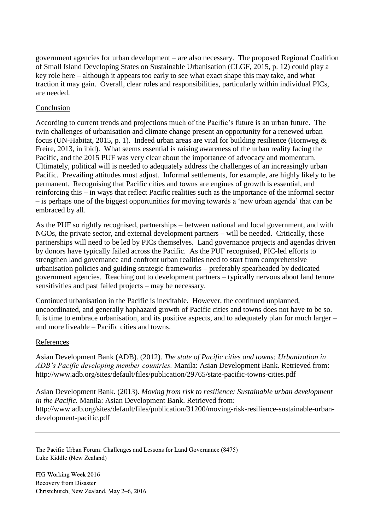government agencies for urban development – are also necessary. The proposed Regional Coalition of Small Island Developing States on Sustainable Urbanisation (CLGF, 2015, p. 12) could play a key role here – although it appears too early to see what exact shape this may take, and what traction it may gain. Overall, clear roles and responsibilities, particularly within individual PICs, are needed.

## Conclusion

According to current trends and projections much of the Pacific's future is an urban future. The twin challenges of urbanisation and climate change present an opportunity for a renewed urban focus (UN-Habitat, 2015, p. 1). Indeed urban areas are vital for building resilience (Hornweg & Freire, 2013, in ibid). What seems essential is raising awareness of the urban reality facing the Pacific, and the 2015 PUF was very clear about the importance of advocacy and momentum. Ultimately, political will is needed to adequately address the challenges of an increasingly urban Pacific. Prevailing attitudes must adjust. Informal settlements, for example, are highly likely to be permanent. Recognising that Pacific cities and towns are engines of growth is essential, and reinforcing this – in ways that reflect Pacific realities such as the importance of the informal sector – is perhaps one of the biggest opportunities for moving towards a 'new urban agenda' that can be embraced by all.

As the PUF so rightly recognised, partnerships – between national and local government, and with NGOs, the private sector, and external development partners – will be needed. Critically, these partnerships will need to be led by PICs themselves. Land governance projects and agendas driven by donors have typically failed across the Pacific. As the PUF recognised, PIC-led efforts to strengthen land governance and confront urban realities need to start from comprehensive urbanisation policies and guiding strategic frameworks – preferably spearheaded by dedicated government agencies. Reaching out to development partners – typically nervous about land tenure sensitivities and past failed projects – may be necessary.

Continued urbanisation in the Pacific is inevitable. However, the continued unplanned, uncoordinated, and generally haphazard growth of Pacific cities and towns does not have to be so. It is time to embrace urbanisation, and its positive aspects, and to adequately plan for much larger – and more liveable – Pacific cities and towns.

## References

Asian Development Bank (ADB). (2012). *The state of Pacific cities and towns: Urbanization in ADB's Pacific developing member countries.* Manila: Asian Development Bank. Retrieved from: http://www.adb.org/sites/default/files/publication/29765/state-pacific-towns-cities.pdf

Asian Development Bank. (2013). *Moving from risk to resilience: Sustainable urban development in the Pacific.* Manila: Asian Development Bank. Retrieved from: http://www.adb.org/sites/default/files/publication/31200/moving-risk-resilience-sustainable-urbandevelopment-pacific.pdf

The Pacific Urban Forum: Challenges and Lessons for Land Governance (8475) Luke Kiddle (New Zealand)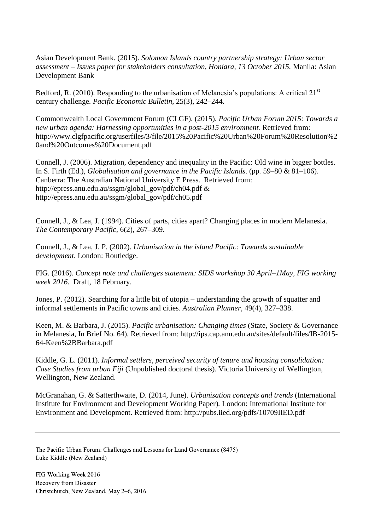Asian Development Bank. (2015). *Solomon Islands country partnership strategy: Urban sector assessment – Issues paper for stakeholders consultation, Honiara, 13 October 2015.* Manila: Asian Development Bank

Bedford, R. (2010). Responding to the urbanisation of Melanesia's populations: A critical  $21<sup>st</sup>$ century challenge. *Pacific Economic Bulletin*, 25(3), 242–244.

Commonwealth Local Government Forum (CLGF). (2015). *Pacific Urban Forum 2015: Towards a new urban agenda: Harnessing opportunities in a post-2015 environment.* Retrieved from: http://www.clgfpacific.org/userfiles/3/file/2015%20Pacific%20Urban%20Forum%20Resolution%2 0and%20Outcomes%20Document.pdf

Connell, J. (2006). Migration, dependency and inequality in the Pacific: Old wine in bigger bottles. In S. Firth (Ed.), *Globalisation and governance in the Pacific Islands*. (pp. 59–80 & 81–106). Canberra: The Australian National University E Press. Retrieved from: http://epress.anu.edu.au/ssgm/global\_gov/pdf/ch04.pdf & http://epress.anu.edu.au/ssgm/global\_gov/pdf/ch05.pdf

Connell, J., & Lea, J. (1994). Cities of parts, cities apart? Changing places in modern Melanesia. *The Contemporary Pacific,* 6(2), 267–309.

Connell, J., & Lea, J. P. (2002). *Urbanisation in the island Pacific: Towards sustainable development*. London: Routledge.

FIG. (2016). *Concept note and challenges statement: SIDS workshop 30 April–1May, FIG working week 2016.* Draft, 18 February.

Jones, P. (2012). Searching for a little bit of utopia – understanding the growth of squatter and informal settlements in Pacific towns and cities. *Australian Planner,* 49(4), 327–338.

Keen, M. & Barbara, J. (2015). *Pacific urbanisation: Changing times* (State, Society & Governance in Melanesia, In Brief No. 64)*.* Retrieved from: http://ips.cap.anu.edu.au/sites/default/files/IB-2015- 64-Keen%2BBarbara.pdf

Kiddle, G. L. (2011). *Informal settlers, perceived security of tenure and housing consolidation: Case Studies from urban Fiji* (Unpublished doctoral thesis). Victoria University of Wellington, Wellington, New Zealand.

McGranahan, G. & Satterthwaite, D. (2014, June). *Urbanisation concepts and trends* (International Institute for Environment and Development Working Paper)*.* London: International Institute for Environment and Development. Retrieved from: http://pubs.iied.org/pdfs/10709IIED.pdf

The Pacific Urban Forum: Challenges and Lessons for Land Governance (8475) Luke Kiddle (New Zealand)